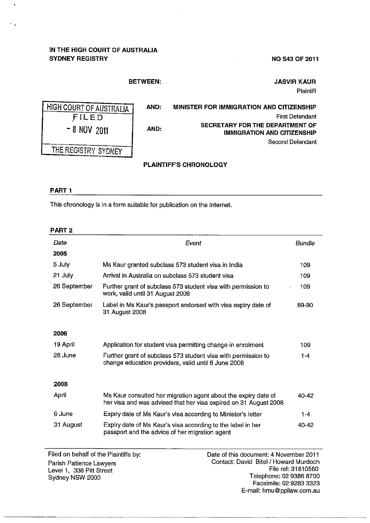# **IN THE HIGH COURT OF AUSTRALIA SYDNEY REGISTRY**

**NO S43 OF 2011** 

## **BETWEEN:**

**AND:** 

**AND:** 

**JASVIR KAUR Plaintiff** 

First Defendant

Second Defendant

**MINISTER FOR IMMIGRATION AND CITIZENSHIP** 

**SECRETARY FOR THE DEPARTMENT OF** 

**IMMIGRATION AND CITIZENSHIP** 

HIGH COURT OF AUSTRALIA FILED ' - **8** NOV **<sup>2011</sup>** THE REGISTRY SYDNEY

## **PLAINTIFF'S CHRONOLOGY**

### **PART1**

 $\ddot{\phantom{1}}$ 

This chronology is in a form suitable for publication on the Internet.

#### **PART2**

| Date         | Event                                                                                                                              | Bundle  |
|--------------|------------------------------------------------------------------------------------------------------------------------------------|---------|
| 2005         |                                                                                                                                    |         |
| 5 July       | Ms Kaur granted subclass 573 student visa in India                                                                                 | 109     |
| 21 July      | Arrival in Australia on subclass 573 student visa                                                                                  | 109     |
| 26 September | Further grant of subclass 573 student visa with permission to<br>work, valid until 31 August 2008                                  | 109     |
| 26 September | Label in Ms Kaur's passport endorsed with visa expiry date of<br>31 August 2008                                                    | 89-90   |
|              |                                                                                                                                    |         |
| 2006         |                                                                                                                                    |         |
| 19 April     | Application for student visa permitting change in enrolment                                                                        | 109     |
| 28 June      | Further grant of subclass 573 student visa with permission to<br>change education providers, valid until 6 June 2008               | $1 - 4$ |
|              |                                                                                                                                    |         |
| 2008         |                                                                                                                                    |         |
| April        | Ms Kaur consulted her migration agent about the expiry date of<br>her visa and was advised that her visa expired on 31 August 2008 | 40-42   |
| 6 June       | Expiry date of Ms Kaur's visa according to Minister's letter                                                                       | $1 - 4$ |
| 31 August    | Expiry date of Ms Kaur's visa according to the label in her<br>passport and the advice of her migration agent                      | 40-42   |

Parish Patience Lawyers Level 1, 338 Pitt Street Sydney NSW 2000

Filed on behalf of the Plaintiffs by: Date of this document: 4 November 2011 Contact: David Bitel/ Howard Murdoch File ref: 31810560 Telephone: 02 9386 8700 Facsimile: 02 9283 3323 E-mail: hmu@ppilaw.com.au